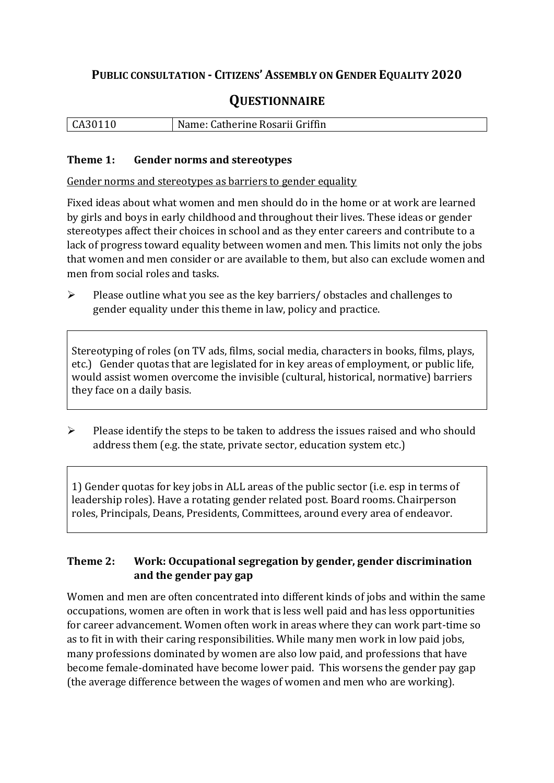## **PUBLIC CONSULTATION - CITIZENS' ASSEMBLY ON GENDER EQUALITY 2020**

# **QUESTIONNAIRE**

| CA30110 | Name: Catherine Rosarii Griffin |
|---------|---------------------------------|
|         |                                 |

#### **Theme 1: Gender norms and stereotypes**

Gender norms and stereotypes as barriers to gender equality

Fixed ideas about what women and men should do in the home or at work are learned by girls and boys in early childhood and throughout their lives. These ideas or gender stereotypes affect their choices in school and as they enter careers and contribute to a lack of progress toward equality between women and men. This limits not only the jobs that women and men consider or are available to them, but also can exclude women and men from social roles and tasks.

➢ Please outline what you see as the key barriers/ obstacles and challenges to gender equality under this theme in law, policy and practice.

Stereotyping of roles (on TV ads, films, social media, characters in books, films, plays, etc.) Gender quotas that are legislated for in key areas of employment, or public life, would assist women overcome the invisible (cultural, historical, normative) barriers they face on a daily basis.

 $\triangleright$  Please identify the steps to be taken to address the issues raised and who should address them (e.g. the state, private sector, education system etc.)

1) Gender quotas for key jobs in ALL areas of the public sector (i.e. esp in terms of leadership roles). Have a rotating gender related post. Board rooms. Chairperson roles, Principals, Deans, Presidents, Committees, around every area of endeavor.

### **Theme 2: Work: Occupational segregation by gender, gender discrimination and the gender pay gap**

Women and men are often concentrated into different kinds of jobs and within the same occupations, women are often in work that is less well paid and has less opportunities for career advancement. Women often work in areas where they can work part-time so as to fit in with their caring responsibilities. While many men work in low paid jobs, many professions dominated by women are also low paid, and professions that have become female-dominated have become lower paid. This worsens the gender pay gap (the average difference between the wages of women and men who are working).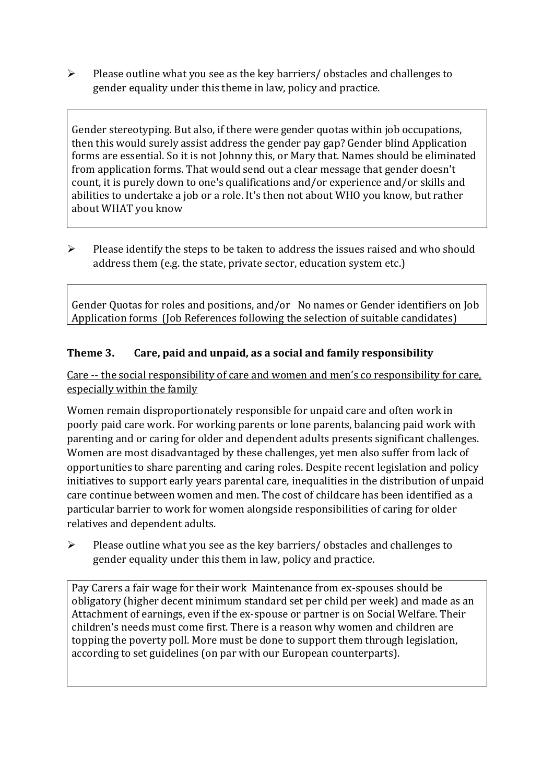➢ Please outline what you see as the key barriers/ obstacles and challenges to gender equality under this theme in law, policy and practice.

Gender stereotyping. But also, if there were gender quotas within job occupations, then this would surely assist address the gender pay gap? Gender blind Application forms are essential. So it is not Johnny this, or Mary that. Names should be eliminated from application forms. That would send out a clear message that gender doesn't count, it is purely down to one's qualifications and/or experience and/or skills and abilities to undertake a job or a role. It's then not about WHO you know, but rather about WHAT you know

➢ Please identify the steps to be taken to address the issues raised and who should address them (e.g. the state, private sector, education system etc.)

Gender Quotas for roles and positions, and/or No names or Gender identifiers on Job Application forms (Job References following the selection of suitable candidates)

### **Theme 3. Care, paid and unpaid, as a social and family responsibility**

Care -- the social responsibility of care and women and men's co responsibility for care, especially within the family

Women remain disproportionately responsible for unpaid care and often work in poorly paid care work. For working parents or [lone parents,](https://aran.library.nuigalway.ie/bitstream/handle/10379/6044/Millar_and_Crosse_Activation_Report.pdf?sequence=1&isAllowed=y) balancing paid work with parenting and or caring for older and dependent adults presents significant challenges. Women are [most disadvantaged by these challenges,](https://eige.europa.eu/gender-equality-index/game/IE/W) yet men also suffer from lack of opportunities to share parenting and caring roles. Despite recent legislation and policy initiatives to support early years parental care, [inequalities in the distribution of unpaid](https://www.ihrec.ie/app/uploads/2019/07/Caring-and-Unpaid-Work-in-Ireland_Final.pdf)  [care](https://www.ihrec.ie/app/uploads/2019/07/Caring-and-Unpaid-Work-in-Ireland_Final.pdf) continue between women and men. The cost of childcare has been identified as a particular barrier to work for women alongside responsibilities of caring for older relatives and dependent adults.

➢ Please outline what you see as the key barriers/ obstacles and challenges to gender equality under this them in law, policy and practice.

Pay Carers a fair wage for their work Maintenance from ex-spouses should be obligatory (higher decent minimum standard set per child per week) and made as an Attachment of earnings, even if the ex-spouse or partner is on Social Welfare. Their children's needs must come first. There is a reason why women and children are topping the poverty poll. More must be done to support them through legislation, according to set guidelines (on par with our European counterparts).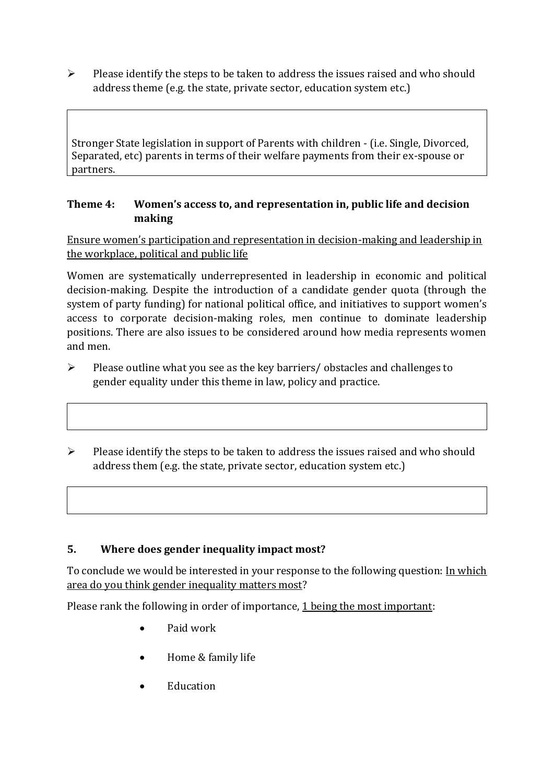➢ Please identify the steps to be taken to address the issues raised and who should address theme (e.g. the state, private sector, education system etc.)

Stronger State legislation in support of Parents with children - (i.e. Single, Divorced, Separated, etc) parents in terms of their welfare payments from their ex-spouse or partners.

#### **Theme 4: Women's access to, and representation in, public life and decision making**

Ensure women's participation and representation in decision-making and leadership in the workplace, political and public life

Women are systematically underrepresented in leadership in [economic](https://eige.europa.eu/gender-equality-index/2019/compare-countries/power/2/bar) and [political](https://eige.europa.eu/gender-equality-index/2019/compare-countries/power/1/bar)  [decision-](https://eige.europa.eu/gender-equality-index/2019/compare-countries/power/1/bar)making. Despite the introduction of a candidate gender quota (through the system of party funding) for national political office, and [initiatives](https://betterbalance.ie/) to support women's access to corporate decision-making roles, men continue to dominate leadership positions. There are also issues to be considered around how media represents women and men.

- ➢ Please outline what you see as the key barriers/ obstacles and challenges to gender equality under this theme in law, policy and practice.
- ➢ Please identify the steps to be taken to address the issues raised and who should address them (e.g. the state, private sector, education system etc.)

#### **5. Where does gender inequality impact most?**

To conclude we would be interested in your response to the following question: In which area do you think gender inequality matters most?

Please rank the following in order of importance, 1 being the most important:

- Paid work
- Home & family life
- Education